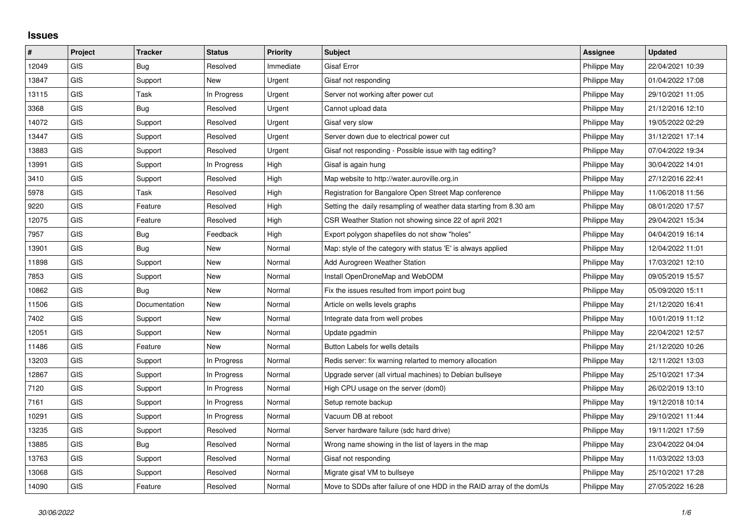## **Issues**

| #     | Project    | <b>Tracker</b> | <b>Status</b> | <b>Priority</b> | <b>Subject</b>                                                       | <b>Assignee</b> | <b>Updated</b>   |
|-------|------------|----------------|---------------|-----------------|----------------------------------------------------------------------|-----------------|------------------|
| 12049 | GIS        | Bug            | Resolved      | Immediate       | <b>Gisaf Error</b>                                                   | Philippe May    | 22/04/2021 10:39 |
| 13847 | <b>GIS</b> | Support        | New           | Urgent          | Gisaf not responding                                                 | Philippe May    | 01/04/2022 17:08 |
| 13115 | GIS        | Task           | In Progress   | Urgent          | Server not working after power cut                                   | Philippe May    | 29/10/2021 11:05 |
| 3368  | <b>GIS</b> | Bug            | Resolved      | Urgent          | Cannot upload data                                                   | Philippe May    | 21/12/2016 12:10 |
| 14072 | <b>GIS</b> | Support        | Resolved      | Urgent          | Gisaf very slow                                                      | Philippe May    | 19/05/2022 02:29 |
| 13447 | <b>GIS</b> | Support        | Resolved      | Urgent          | Server down due to electrical power cut                              | Philippe May    | 31/12/2021 17:14 |
| 13883 | <b>GIS</b> | Support        | Resolved      | Urgent          | Gisaf not responding - Possible issue with tag editing?              | Philippe May    | 07/04/2022 19:34 |
| 13991 | <b>GIS</b> | Support        | In Progress   | High            | Gisaf is again hung                                                  | Philippe May    | 30/04/2022 14:01 |
| 3410  | GIS        | Support        | Resolved      | High            | Map website to http://water.auroville.org.in                         | Philippe May    | 27/12/2016 22:41 |
| 5978  | <b>GIS</b> | Task           | Resolved      | High            | Registration for Bangalore Open Street Map conference                | Philippe May    | 11/06/2018 11:56 |
| 9220  | <b>GIS</b> | Feature        | Resolved      | High            | Setting the daily resampling of weather data starting from 8.30 am   | Philippe May    | 08/01/2020 17:57 |
| 12075 | <b>GIS</b> | Feature        | Resolved      | High            | CSR Weather Station not showing since 22 of april 2021               | Philippe May    | 29/04/2021 15:34 |
| 7957  | <b>GIS</b> | Bug            | Feedback      | High            | Export polygon shapefiles do not show "holes"                        | Philippe May    | 04/04/2019 16:14 |
| 13901 | GIS        | Bug            | New           | Normal          | Map: style of the category with status 'E' is always applied         | Philippe May    | 12/04/2022 11:01 |
| 11898 | <b>GIS</b> | Support        | <b>New</b>    | Normal          | Add Aurogreen Weather Station                                        | Philippe May    | 17/03/2021 12:10 |
| 7853  | <b>GIS</b> | Support        | <b>New</b>    | Normal          | Install OpenDroneMap and WebODM                                      | Philippe May    | 09/05/2019 15:57 |
| 10862 | <b>GIS</b> | Bug            | New           | Normal          | Fix the issues resulted from import point bug                        | Philippe May    | 05/09/2020 15:11 |
| 11506 | <b>GIS</b> | Documentation  | New           | Normal          | Article on wells levels graphs                                       | Philippe May    | 21/12/2020 16:41 |
| 7402  | GIS        | Support        | New           | Normal          | Integrate data from well probes                                      | Philippe May    | 10/01/2019 11:12 |
| 12051 | GIS        | Support        | New           | Normal          | Update pgadmin                                                       | Philippe May    | 22/04/2021 12:57 |
| 11486 | <b>GIS</b> | Feature        | <b>New</b>    | Normal          | Button Labels for wells details                                      | Philippe May    | 21/12/2020 10:26 |
| 13203 | GIS        | Support        | In Progress   | Normal          | Redis server: fix warning relarted to memory allocation              | Philippe May    | 12/11/2021 13:03 |
| 12867 | <b>GIS</b> | Support        | In Progress   | Normal          | Upgrade server (all virtual machines) to Debian bullseye             | Philippe May    | 25/10/2021 17:34 |
| 7120  | <b>GIS</b> | Support        | In Progress   | Normal          | High CPU usage on the server (dom0)                                  | Philippe May    | 26/02/2019 13:10 |
| 7161  | GIS        | Support        | In Progress   | Normal          | Setup remote backup                                                  | Philippe May    | 19/12/2018 10:14 |
| 10291 | <b>GIS</b> | Support        | In Progress   | Normal          | Vacuum DB at reboot                                                  | Philippe May    | 29/10/2021 11:44 |
| 13235 | <b>GIS</b> | Support        | Resolved      | Normal          | Server hardware failure (sdc hard drive)                             | Philippe May    | 19/11/2021 17:59 |
| 13885 | <b>GIS</b> | Bug            | Resolved      | Normal          | Wrong name showing in the list of layers in the map                  | Philippe May    | 23/04/2022 04:04 |
| 13763 | <b>GIS</b> | Support        | Resolved      | Normal          | Gisaf not responding                                                 | Philippe May    | 11/03/2022 13:03 |
| 13068 | GIS        | Support        | Resolved      | Normal          | Migrate gisaf VM to bullseye                                         | Philippe May    | 25/10/2021 17:28 |
| 14090 | GIS        | Feature        | Resolved      | Normal          | Move to SDDs after failure of one HDD in the RAID array of the domUs | Philippe May    | 27/05/2022 16:28 |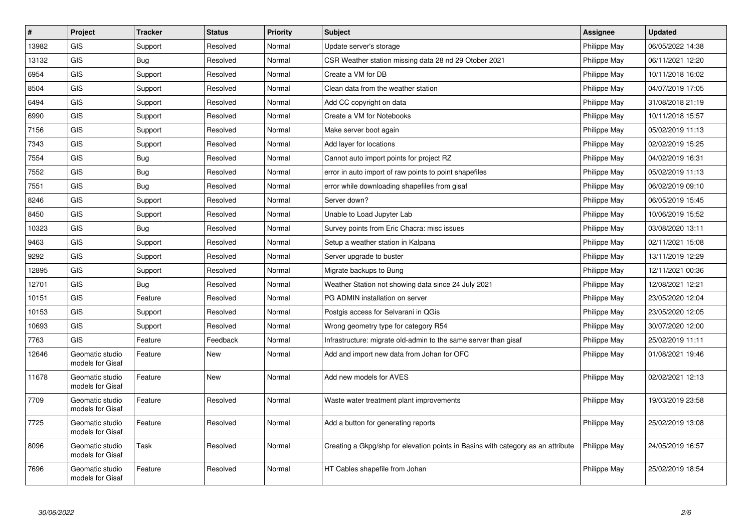| $\pmb{\#}$ | Project                             | <b>Tracker</b> | <b>Status</b> | Priority | <b>Subject</b>                                                                   | <b>Assignee</b> | <b>Updated</b>   |
|------------|-------------------------------------|----------------|---------------|----------|----------------------------------------------------------------------------------|-----------------|------------------|
| 13982      | <b>GIS</b>                          | Support        | Resolved      | Normal   | Update server's storage                                                          | Philippe May    | 06/05/2022 14:38 |
| 13132      | <b>GIS</b>                          | Bug            | Resolved      | Normal   | CSR Weather station missing data 28 nd 29 Otober 2021                            | Philippe May    | 06/11/2021 12:20 |
| 6954       | <b>GIS</b>                          | Support        | Resolved      | Normal   | Create a VM for DB                                                               | Philippe May    | 10/11/2018 16:02 |
| 8504       | GIS                                 | Support        | Resolved      | Normal   | Clean data from the weather station                                              | Philippe May    | 04/07/2019 17:05 |
| 6494       | GIS                                 | Support        | Resolved      | Normal   | Add CC copyright on data                                                         | Philippe May    | 31/08/2018 21:19 |
| 6990       | <b>GIS</b>                          | Support        | Resolved      | Normal   | Create a VM for Notebooks                                                        | Philippe May    | 10/11/2018 15:57 |
| 7156       | <b>GIS</b>                          | Support        | Resolved      | Normal   | Make server boot again                                                           | Philippe May    | 05/02/2019 11:13 |
| 7343       | <b>GIS</b>                          | Support        | Resolved      | Normal   | Add layer for locations                                                          | Philippe May    | 02/02/2019 15:25 |
| 7554       | <b>GIS</b>                          | Bug            | Resolved      | Normal   | Cannot auto import points for project RZ                                         | Philippe May    | 04/02/2019 16:31 |
| 7552       | <b>GIS</b>                          | <b>Bug</b>     | Resolved      | Normal   | error in auto import of raw points to point shapefiles                           | Philippe May    | 05/02/2019 11:13 |
| 7551       | GIS                                 | <b>Bug</b>     | Resolved      | Normal   | error while downloading shapefiles from gisaf                                    | Philippe May    | 06/02/2019 09:10 |
| 8246       | <b>GIS</b>                          | Support        | Resolved      | Normal   | Server down?                                                                     | Philippe May    | 06/05/2019 15:45 |
| 8450       | GIS                                 | Support        | Resolved      | Normal   | Unable to Load Jupyter Lab                                                       | Philippe May    | 10/06/2019 15:52 |
| 10323      | <b>GIS</b>                          | Bug            | Resolved      | Normal   | Survey points from Eric Chacra: misc issues                                      | Philippe May    | 03/08/2020 13:11 |
| 9463       | <b>GIS</b>                          | Support        | Resolved      | Normal   | Setup a weather station in Kalpana                                               | Philippe May    | 02/11/2021 15:08 |
| 9292       | GIS                                 | Support        | Resolved      | Normal   | Server upgrade to buster                                                         | Philippe May    | 13/11/2019 12:29 |
| 12895      | GIS                                 | Support        | Resolved      | Normal   | Migrate backups to Bung                                                          | Philippe May    | 12/11/2021 00:36 |
| 12701      | <b>GIS</b>                          | <b>Bug</b>     | Resolved      | Normal   | Weather Station not showing data since 24 July 2021                              | Philippe May    | 12/08/2021 12:21 |
| 10151      | GIS                                 | Feature        | Resolved      | Normal   | PG ADMIN installation on server                                                  | Philippe May    | 23/05/2020 12:04 |
| 10153      | GIS                                 | Support        | Resolved      | Normal   | Postgis access for Selvarani in QGis                                             | Philippe May    | 23/05/2020 12:05 |
| 10693      | <b>GIS</b>                          | Support        | Resolved      | Normal   | Wrong geometry type for category R54                                             | Philippe May    | 30/07/2020 12:00 |
| 7763       | GIS                                 | Feature        | Feedback      | Normal   | Infrastructure: migrate old-admin to the same server than gisaf                  | Philippe May    | 25/02/2019 11:11 |
| 12646      | Geomatic studio<br>models for Gisaf | Feature        | New           | Normal   | Add and import new data from Johan for OFC                                       | Philippe May    | 01/08/2021 19:46 |
| 11678      | Geomatic studio<br>models for Gisaf | Feature        | <b>New</b>    | Normal   | Add new models for AVES                                                          | Philippe May    | 02/02/2021 12:13 |
| 7709       | Geomatic studio<br>models for Gisaf | Feature        | Resolved      | Normal   | Waste water treatment plant improvements                                         | Philippe May    | 19/03/2019 23:58 |
| 7725       | Geomatic studio<br>models for Gisaf | Feature        | Resolved      | Normal   | Add a button for generating reports                                              | Philippe May    | 25/02/2019 13:08 |
| 8096       | Geomatic studio<br>models for Gisaf | Task           | Resolved      | Normal   | Creating a Gkpg/shp for elevation points in Basins with category as an attribute | Philippe May    | 24/05/2019 16:57 |
| 7696       | Geomatic studio<br>models for Gisaf | Feature        | Resolved      | Normal   | HT Cables shapefile from Johan                                                   | Philippe May    | 25/02/2019 18:54 |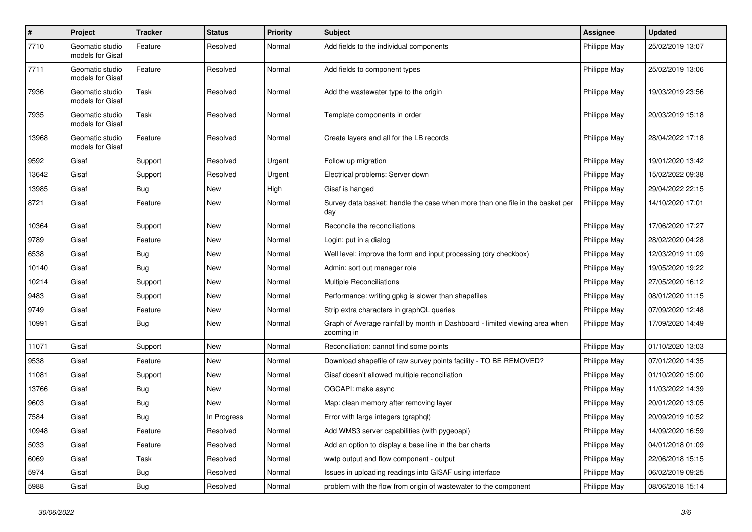| $\pmb{\#}$ | Project                             | <b>Tracker</b> | <b>Status</b> | <b>Priority</b> | <b>Subject</b>                                                                            | <b>Assignee</b> | <b>Updated</b>   |
|------------|-------------------------------------|----------------|---------------|-----------------|-------------------------------------------------------------------------------------------|-----------------|------------------|
| 7710       | Geomatic studio<br>models for Gisaf | Feature        | Resolved      | Normal          | Add fields to the individual components                                                   | Philippe May    | 25/02/2019 13:07 |
| 7711       | Geomatic studio<br>models for Gisaf | Feature        | Resolved      | Normal          | Add fields to component types                                                             | Philippe May    | 25/02/2019 13:06 |
| 7936       | Geomatic studio<br>models for Gisaf | Task           | Resolved      | Normal          | Add the wastewater type to the origin                                                     | Philippe May    | 19/03/2019 23:56 |
| 7935       | Geomatic studio<br>models for Gisaf | Task           | Resolved      | Normal          | Template components in order                                                              | Philippe May    | 20/03/2019 15:18 |
| 13968      | Geomatic studio<br>models for Gisaf | Feature        | Resolved      | Normal          | Create layers and all for the LB records                                                  | Philippe May    | 28/04/2022 17:18 |
| 9592       | Gisaf                               | Support        | Resolved      | Urgent          | Follow up migration                                                                       | Philippe May    | 19/01/2020 13:42 |
| 13642      | Gisaf                               | Support        | Resolved      | Urgent          | Electrical problems: Server down                                                          | Philippe May    | 15/02/2022 09:38 |
| 13985      | Gisaf                               | Bug            | New           | High            | Gisaf is hanged                                                                           | Philippe May    | 29/04/2022 22:15 |
| 8721       | Gisaf                               | Feature        | New           | Normal          | Survey data basket: handle the case when more than one file in the basket per<br>day      | Philippe May    | 14/10/2020 17:01 |
| 10364      | Gisaf                               | Support        | New           | Normal          | Reconcile the reconciliations                                                             | Philippe May    | 17/06/2020 17:27 |
| 9789       | Gisaf                               | Feature        | New           | Normal          | Login: put in a dialog                                                                    | Philippe May    | 28/02/2020 04:28 |
| 6538       | Gisaf                               | Bug            | New           | Normal          | Well level: improve the form and input processing (dry checkbox)                          | Philippe May    | 12/03/2019 11:09 |
| 10140      | Gisaf                               | Bug            | New           | Normal          | Admin: sort out manager role                                                              | Philippe May    | 19/05/2020 19:22 |
| 10214      | Gisaf                               | Support        | New           | Normal          | Multiple Reconciliations                                                                  | Philippe May    | 27/05/2020 16:12 |
| 9483       | Gisaf                               | Support        | New           | Normal          | Performance: writing gpkg is slower than shapefiles                                       | Philippe May    | 08/01/2020 11:15 |
| 9749       | Gisaf                               | Feature        | New           | Normal          | Strip extra characters in graphQL queries                                                 | Philippe May    | 07/09/2020 12:48 |
| 10991      | Gisaf                               | <b>Bug</b>     | New           | Normal          | Graph of Average rainfall by month in Dashboard - limited viewing area when<br>zooming in | Philippe May    | 17/09/2020 14:49 |
| 11071      | Gisaf                               | Support        | New           | Normal          | Reconciliation: cannot find some points                                                   | Philippe May    | 01/10/2020 13:03 |
| 9538       | Gisaf                               | Feature        | New           | Normal          | Download shapefile of raw survey points facility - TO BE REMOVED?                         | Philippe May    | 07/01/2020 14:35 |
| 11081      | Gisaf                               | Support        | New           | Normal          | Gisaf doesn't allowed multiple reconciliation                                             | Philippe May    | 01/10/2020 15:00 |
| 13766      | Gisaf                               | <b>Bug</b>     | New           | Normal          | OGCAPI: make async                                                                        | Philippe May    | 11/03/2022 14:39 |
| 9603       | Gisaf                               | <b>Bug</b>     | New           | Normal          | Map: clean memory after removing layer                                                    | Philippe May    | 20/01/2020 13:05 |
| 7584       | Gisaf                               | <b>Bug</b>     | In Progress   | Normal          | Error with large integers (graphql)                                                       | Philippe May    | 20/09/2019 10:52 |
| 10948      | Gisaf                               | Feature        | Resolved      | Normal          | Add WMS3 server capabilities (with pygeoapi)                                              | Philippe May    | 14/09/2020 16:59 |
| 5033       | Gisaf                               | Feature        | Resolved      | Normal          | Add an option to display a base line in the bar charts                                    | Philippe May    | 04/01/2018 01:09 |
| 6069       | Gisaf                               | Task           | Resolved      | Normal          | wwtp output and flow component - output                                                   | Philippe May    | 22/06/2018 15:15 |
| 5974       | Gisaf                               | <b>Bug</b>     | Resolved      | Normal          | Issues in uploading readings into GISAF using interface                                   | Philippe May    | 06/02/2019 09:25 |
| 5988       | Gisaf                               | Bug            | Resolved      | Normal          | problem with the flow from origin of wastewater to the component                          | Philippe May    | 08/06/2018 15:14 |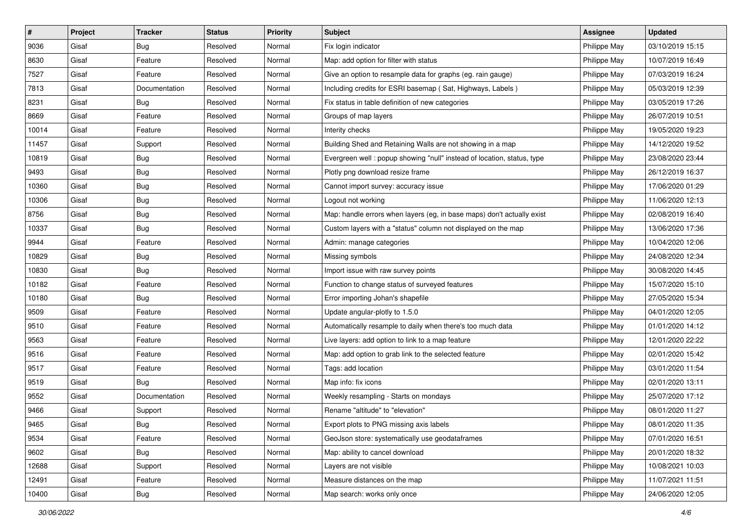| #     | Project | <b>Tracker</b> | <b>Status</b> | <b>Priority</b> | Subject                                                                | <b>Assignee</b> | <b>Updated</b>   |
|-------|---------|----------------|---------------|-----------------|------------------------------------------------------------------------|-----------------|------------------|
| 9036  | Gisaf   | <b>Bug</b>     | Resolved      | Normal          | Fix login indicator                                                    | Philippe May    | 03/10/2019 15:15 |
| 8630  | Gisaf   | Feature        | Resolved      | Normal          | Map: add option for filter with status                                 | Philippe May    | 10/07/2019 16:49 |
| 7527  | Gisaf   | Feature        | Resolved      | Normal          | Give an option to resample data for graphs (eg. rain gauge)            | Philippe May    | 07/03/2019 16:24 |
| 7813  | Gisaf   | Documentation  | Resolved      | Normal          | Including credits for ESRI basemap (Sat, Highways, Labels)             | Philippe May    | 05/03/2019 12:39 |
| 8231  | Gisaf   | <b>Bug</b>     | Resolved      | Normal          | Fix status in table definition of new categories                       | Philippe May    | 03/05/2019 17:26 |
| 8669  | Gisaf   | Feature        | Resolved      | Normal          | Groups of map layers                                                   | Philippe May    | 26/07/2019 10:51 |
| 10014 | Gisaf   | Feature        | Resolved      | Normal          | Interity checks                                                        | Philippe May    | 19/05/2020 19:23 |
| 11457 | Gisaf   | Support        | Resolved      | Normal          | Building Shed and Retaining Walls are not showing in a map             | Philippe May    | 14/12/2020 19:52 |
| 10819 | Gisaf   | Bug            | Resolved      | Normal          | Evergreen well: popup showing "null" instead of location, status, type | Philippe May    | 23/08/2020 23:44 |
| 9493  | Gisaf   | Bug            | Resolved      | Normal          | Plotly png download resize frame                                       | Philippe May    | 26/12/2019 16:37 |
| 10360 | Gisaf   | <b>Bug</b>     | Resolved      | Normal          | Cannot import survey: accuracy issue                                   | Philippe May    | 17/06/2020 01:29 |
| 10306 | Gisaf   | <b>Bug</b>     | Resolved      | Normal          | Logout not working                                                     | Philippe May    | 11/06/2020 12:13 |
| 8756  | Gisaf   | Bug            | Resolved      | Normal          | Map: handle errors when layers (eg, in base maps) don't actually exist | Philippe May    | 02/08/2019 16:40 |
| 10337 | Gisaf   | <b>Bug</b>     | Resolved      | Normal          | Custom layers with a "status" column not displayed on the map          | Philippe May    | 13/06/2020 17:36 |
| 9944  | Gisaf   | Feature        | Resolved      | Normal          | Admin: manage categories                                               | Philippe May    | 10/04/2020 12:06 |
| 10829 | Gisaf   | <b>Bug</b>     | Resolved      | Normal          | Missing symbols                                                        | Philippe May    | 24/08/2020 12:34 |
| 10830 | Gisaf   | <b>Bug</b>     | Resolved      | Normal          | Import issue with raw survey points                                    | Philippe May    | 30/08/2020 14:45 |
| 10182 | Gisaf   | Feature        | Resolved      | Normal          | Function to change status of surveyed features                         | Philippe May    | 15/07/2020 15:10 |
| 10180 | Gisaf   | <b>Bug</b>     | Resolved      | Normal          | Error importing Johan's shapefile                                      | Philippe May    | 27/05/2020 15:34 |
| 9509  | Gisaf   | Feature        | Resolved      | Normal          | Update angular-plotly to 1.5.0                                         | Philippe May    | 04/01/2020 12:05 |
| 9510  | Gisaf   | Feature        | Resolved      | Normal          | Automatically resample to daily when there's too much data             | Philippe May    | 01/01/2020 14:12 |
| 9563  | Gisaf   | Feature        | Resolved      | Normal          | Live layers: add option to link to a map feature                       | Philippe May    | 12/01/2020 22:22 |
| 9516  | Gisaf   | Feature        | Resolved      | Normal          | Map: add option to grab link to the selected feature                   | Philippe May    | 02/01/2020 15:42 |
| 9517  | Gisaf   | Feature        | Resolved      | Normal          | Tags: add location                                                     | Philippe May    | 03/01/2020 11:54 |
| 9519  | Gisaf   | <b>Bug</b>     | Resolved      | Normal          | Map info: fix icons                                                    | Philippe May    | 02/01/2020 13:11 |
| 9552  | Gisaf   | Documentation  | Resolved      | Normal          | Weekly resampling - Starts on mondays                                  | Philippe May    | 25/07/2020 17:12 |
| 9466  | Gisaf   | Support        | Resolved      | Normal          | Rename "altitude" to "elevation"                                       | Philippe May    | 08/01/2020 11:27 |
| 9465  | Gisaf   | <b>Bug</b>     | Resolved      | Normal          | Export plots to PNG missing axis labels                                | Philippe May    | 08/01/2020 11:35 |
| 9534  | Gisaf   | Feature        | Resolved      | Normal          | GeoJson store: systematically use geodataframes                        | Philippe May    | 07/01/2020 16:51 |
| 9602  | Gisaf   | Bug            | Resolved      | Normal          | Map: ability to cancel download                                        | Philippe May    | 20/01/2020 18:32 |
| 12688 | Gisaf   | Support        | Resolved      | Normal          | Layers are not visible                                                 | Philippe May    | 10/08/2021 10:03 |
| 12491 | Gisaf   | Feature        | Resolved      | Normal          | Measure distances on the map                                           | Philippe May    | 11/07/2021 11:51 |
| 10400 | Gisaf   | Bug            | Resolved      | Normal          | Map search: works only once                                            | Philippe May    | 24/06/2020 12:05 |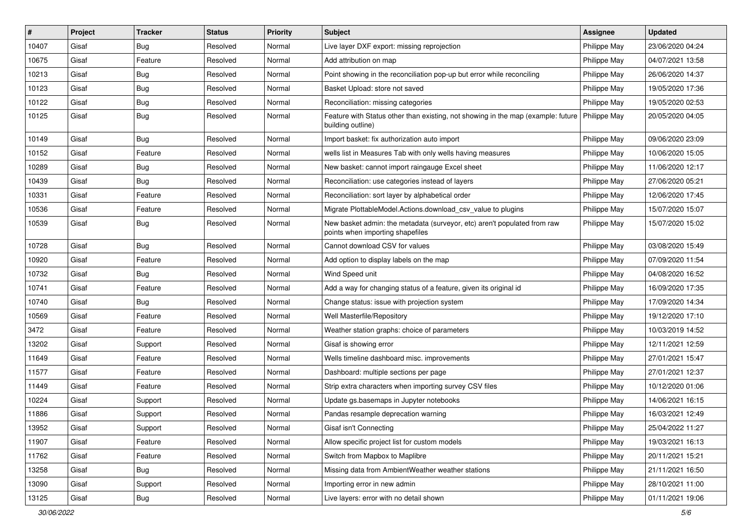| #     | Project | <b>Tracker</b> | <b>Status</b> | Priority | Subject                                                                                                      | <b>Assignee</b> | <b>Updated</b>   |
|-------|---------|----------------|---------------|----------|--------------------------------------------------------------------------------------------------------------|-----------------|------------------|
| 10407 | Gisaf   | <b>Bug</b>     | Resolved      | Normal   | Live layer DXF export: missing reprojection                                                                  | Philippe May    | 23/06/2020 04:24 |
| 10675 | Gisaf   | Feature        | Resolved      | Normal   | Add attribution on map                                                                                       | Philippe May    | 04/07/2021 13:58 |
| 10213 | Gisaf   | Bug            | Resolved      | Normal   | Point showing in the reconciliation pop-up but error while reconciling                                       | Philippe May    | 26/06/2020 14:37 |
| 10123 | Gisaf   | <b>Bug</b>     | Resolved      | Normal   | Basket Upload: store not saved                                                                               | Philippe May    | 19/05/2020 17:36 |
| 10122 | Gisaf   | Bug            | Resolved      | Normal   | Reconciliation: missing categories                                                                           | Philippe May    | 19/05/2020 02:53 |
| 10125 | Gisaf   | <b>Bug</b>     | Resolved      | Normal   | Feature with Status other than existing, not showing in the map (example: future<br>building outline)        | Philippe May    | 20/05/2020 04:05 |
| 10149 | Gisaf   | Bug            | Resolved      | Normal   | Import basket: fix authorization auto import                                                                 | Philippe May    | 09/06/2020 23:09 |
| 10152 | Gisaf   | Feature        | Resolved      | Normal   | wells list in Measures Tab with only wells having measures                                                   | Philippe May    | 10/06/2020 15:05 |
| 10289 | Gisaf   | <b>Bug</b>     | Resolved      | Normal   | New basket: cannot import raingauge Excel sheet                                                              | Philippe May    | 11/06/2020 12:17 |
| 10439 | Gisaf   | Bug            | Resolved      | Normal   | Reconciliation: use categories instead of layers                                                             | Philippe May    | 27/06/2020 05:21 |
| 10331 | Gisaf   | Feature        | Resolved      | Normal   | Reconciliation: sort layer by alphabetical order                                                             | Philippe May    | 12/06/2020 17:45 |
| 10536 | Gisaf   | Feature        | Resolved      | Normal   | Migrate PlottableModel.Actions.download csv value to plugins                                                 | Philippe May    | 15/07/2020 15:07 |
| 10539 | Gisaf   | <b>Bug</b>     | Resolved      | Normal   | New basket admin: the metadata (surveyor, etc) aren't populated from raw<br>points when importing shapefiles | Philippe May    | 15/07/2020 15:02 |
| 10728 | Gisaf   | Bug            | Resolved      | Normal   | Cannot download CSV for values                                                                               | Philippe May    | 03/08/2020 15:49 |
| 10920 | Gisaf   | Feature        | Resolved      | Normal   | Add option to display labels on the map                                                                      | Philippe May    | 07/09/2020 11:54 |
| 10732 | Gisaf   | Bug            | Resolved      | Normal   | Wind Speed unit                                                                                              | Philippe May    | 04/08/2020 16:52 |
| 10741 | Gisaf   | Feature        | Resolved      | Normal   | Add a way for changing status of a feature, given its original id                                            | Philippe May    | 16/09/2020 17:35 |
| 10740 | Gisaf   | <b>Bug</b>     | Resolved      | Normal   | Change status: issue with projection system                                                                  | Philippe May    | 17/09/2020 14:34 |
| 10569 | Gisaf   | Feature        | Resolved      | Normal   | Well Masterfile/Repository                                                                                   | Philippe May    | 19/12/2020 17:10 |
| 3472  | Gisaf   | Feature        | Resolved      | Normal   | Weather station graphs: choice of parameters                                                                 | Philippe May    | 10/03/2019 14:52 |
| 13202 | Gisaf   | Support        | Resolved      | Normal   | Gisaf is showing error                                                                                       | Philippe May    | 12/11/2021 12:59 |
| 11649 | Gisaf   | Feature        | Resolved      | Normal   | Wells timeline dashboard misc. improvements                                                                  | Philippe May    | 27/01/2021 15:47 |
| 11577 | Gisaf   | Feature        | Resolved      | Normal   | Dashboard: multiple sections per page                                                                        | Philippe May    | 27/01/2021 12:37 |
| 11449 | Gisaf   | Feature        | Resolved      | Normal   | Strip extra characters when importing survey CSV files                                                       | Philippe May    | 10/12/2020 01:06 |
| 10224 | Gisaf   | Support        | Resolved      | Normal   | Update gs.basemaps in Jupyter notebooks                                                                      | Philippe May    | 14/06/2021 16:15 |
| 11886 | Gisaf   | Support        | Resolved      | Normal   | Pandas resample deprecation warning                                                                          | Philippe May    | 16/03/2021 12:49 |
| 13952 | Gisaf   | Support        | Resolved      | Normal   | Gisaf isn't Connecting                                                                                       | Philippe May    | 25/04/2022 11:27 |
| 11907 | Gisaf   | Feature        | Resolved      | Normal   | Allow specific project list for custom models                                                                | Philippe May    | 19/03/2021 16:13 |
| 11762 | Gisaf   | Feature        | Resolved      | Normal   | Switch from Mapbox to Maplibre                                                                               | Philippe May    | 20/11/2021 15:21 |
| 13258 | Gisaf   | <b>Bug</b>     | Resolved      | Normal   | Missing data from AmbientWeather weather stations                                                            | Philippe May    | 21/11/2021 16:50 |
| 13090 | Gisaf   | Support        | Resolved      | Normal   | Importing error in new admin                                                                                 | Philippe May    | 28/10/2021 11:00 |
| 13125 | Gisaf   | <b>Bug</b>     | Resolved      | Normal   | Live layers: error with no detail shown                                                                      | Philippe May    | 01/11/2021 19:06 |